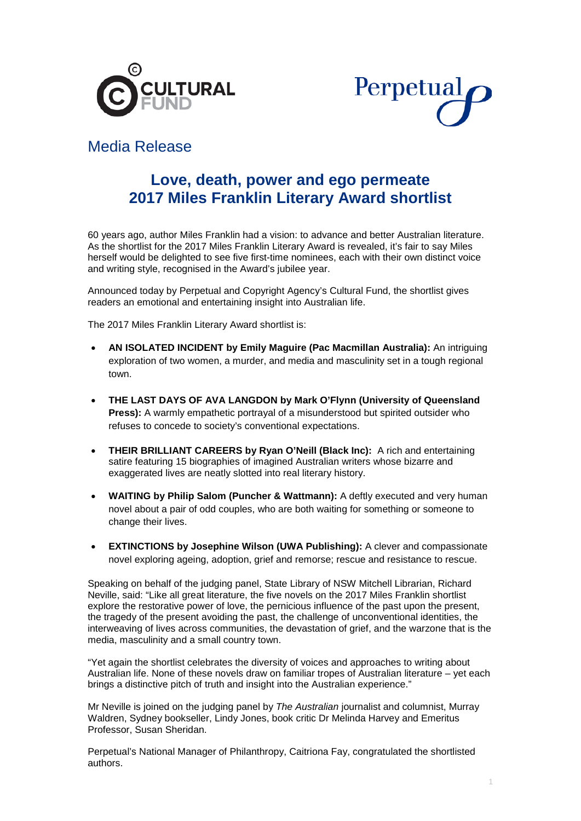



# Media Release

# **Love, death, power and ego permeate 2017 Miles Franklin Literary Award shortlist**

60 years ago, author Miles Franklin had a vision: to advance and better Australian literature. As the shortlist for the 2017 Miles Franklin Literary Award is revealed, it's fair to say Miles herself would be delighted to see five first-time nominees, each with their own distinct voice and writing style, recognised in the Award's jubilee year.

Announced today by Perpetual and Copyright Agency's Cultural Fund, the shortlist gives readers an emotional and entertaining insight into Australian life.

The 2017 Miles Franklin Literary Award shortlist is:

- **AN ISOLATED INCIDENT by Emily Maguire (Pac Macmillan Australia):** An intriguing exploration of two women, a murder, and media and masculinity set in a tough regional town.
- **THE LAST DAYS OF AVA LANGDON by Mark O'Flynn (University of Queensland Press):** A warmly empathetic portrayal of a misunderstood but spirited outsider who refuses to concede to society's conventional expectations.
- **THEIR BRILLIANT CAREERS by Ryan O'Neill (Black Inc):** A rich and entertaining satire featuring 15 biographies of imagined Australian writers whose bizarre and exaggerated lives are neatly slotted into real literary history.
- **WAITING by Philip Salom (Puncher & Wattmann):** A deftly executed and very human novel about a pair of odd couples, who are both waiting for something or someone to change their lives.
- **EXTINCTIONS by Josephine Wilson (UWA Publishing):** A clever and compassionate novel exploring ageing, adoption, grief and remorse; rescue and resistance to rescue.

Speaking on behalf of the judging panel, State Library of NSW Mitchell Librarian, Richard Neville, said: "Like all great literature, the five novels on the 2017 Miles Franklin shortlist explore the restorative power of love, the pernicious influence of the past upon the present, the tragedy of the present avoiding the past, the challenge of unconventional identities, the interweaving of lives across communities, the devastation of grief, and the warzone that is the media, masculinity and a small country town.

"Yet again the shortlist celebrates the diversity of voices and approaches to writing about Australian life. None of these novels draw on familiar tropes of Australian literature – yet each brings a distinctive pitch of truth and insight into the Australian experience."

Mr Neville is joined on the judging panel by *The Australian* journalist and columnist, Murray Waldren, Sydney bookseller, Lindy Jones, book critic Dr Melinda Harvey and Emeritus Professor, Susan Sheridan.

Perpetual's National Manager of Philanthropy, Caitriona Fay, congratulated the shortlisted authors.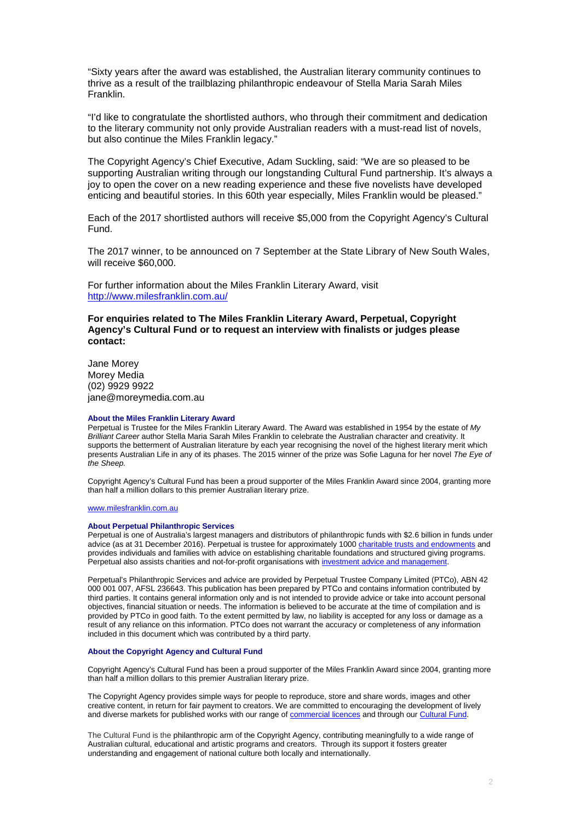"Sixty years after the award was established, the Australian literary community continues to thrive as a result of the trailblazing philanthropic endeavour of Stella Maria Sarah Miles Franklin.

"I'd like to congratulate the shortlisted authors, who through their commitment and dedication to the literary community not only provide Australian readers with a must-read list of novels, but also continue the Miles Franklin legacy."

The Copyright Agency's Chief Executive, Adam Suckling, said: "We are so pleased to be supporting Australian writing through our longstanding Cultural Fund partnership. It's always a joy to open the cover on a new reading experience and these five novelists have developed enticing and beautiful stories. In this 60th year especially, Miles Franklin would be pleased."

Each of the 2017 shortlisted authors will receive \$5,000 from the Copyright Agency's Cultural Fund.

The 2017 winner, to be announced on 7 September at the State Library of New South Wales, will receive \$60,000.

For further information about the Miles Franklin Literary Award, visit <http://www.milesfranklin.com.au/>

# **For enquiries related to The Miles Franklin Literary Award, Perpetual, Copyright Agency's Cultural Fund or to request an interview with finalists or judges please contact:**

Jane Morey Morey Media (02) 9929 9922 jane@moreymedia.com.au

#### **About the Miles Franklin Literary Award**

Perpetual is Trustee for the Miles Franklin Literary Award. The Award was established in 1954 by the estate of *My Brilliant Career* author Stella Maria Sarah Miles Franklin to celebrate the Australian character and creativity. It supports the betterment of Australian literature by each year recognising the novel of the highest literary merit which presents Australian Life in any of its phases. The 2015 winner of the prize was Sofie Laguna for her novel *The Eye of the Sheep.*

Copyright Agency's Cultural Fund has been a proud supporter of the Miles Franklin Award since 2004, granting more than half a million dollars to this premier Australian literary prize.

#### [www.milesfranklin.com.au](http://www.milesfranklin.com.au/)

#### **About Perpetual Philanthropic Services**

Perpetual is one of Australia's largest managers and distributors of philanthropic funds with \$2.6 billion in funds under advice (as at 31 December 2016). Perpetual is trustee for approximately 100[0 charitable trusts and endowments](http://www.perpetual.com.au/philanthropy-individuals-and-families.aspx) and provides individuals and families with advice on establishing charitable foundations and structured giving programs. Perpetual also assists charities and not-for-profit organisations wit[h investment advice and management.](http://www.perpetual.com.au/philanthropy-investment-advice-management.aspx)

Perpetual's Philanthropic Services and advice are provided by Perpetual Trustee Company Limited (PTCo), ABN 42 000 001 007, AFSL 236643. This publication has been prepared by PTCo and contains information contributed by third parties. It contains general information only and is not intended to provide advice or take into account personal objectives, financial situation or needs. The information is believed to be accurate at the time of compilation and is provided by PTCo in good faith. To the extent permitted by law, no liability is accepted for any loss or damage as a result of any reliance on this information. PTCo does not warrant the accuracy or completeness of any information included in this document which was contributed by a third party.

#### **About the Copyright Agency and Cultural Fund**

Copyright Agency's Cultural Fund has been a proud supporter of the Miles Franklin Award since 2004, granting more than half a million dollars to this premier Australian literary prize.

The Copyright Agency provides simple ways for people to reproduce, store and share words, images and other creative content, in return for fair payment to creators. We are committed to encouraging the development of lively and diverse markets for published works with our range of [commercial licences](http://copyright.com.au/licences-permission/commercial-licences/) and through our [Cultural Fund.](http://copyright.com.au/culturalfund/)

The Cultural Fund is the philanthropic arm of the Copyright Agency, contributing meaningfully to a wide range of Australian cultural, educational and artistic programs and creators. Through its support it fosters greater understanding and engagement of national culture both locally and internationally.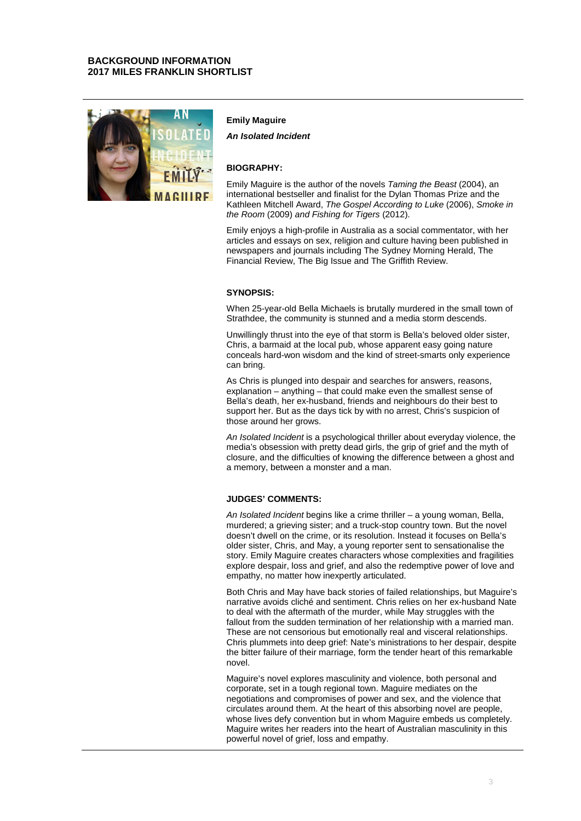# **BACKGROUND INFORMATION 2017 MILES FRANKLIN SHORTLIST**



## **Emily Maguire**

*An Isolated Incident*

## **BIOGRAPHY:**

Emily Maguire is the author of the novels *Taming the Beast* (2004), an international bestseller and finalist for the Dylan Thomas Prize and the Kathleen Mitchell Award, *The Gospel According to Luke* (2006), *Smoke in the Room* (2009) *and Fishing for Tigers* (2012).

Emily enjoys a high-profile in Australia as a social commentator, with her articles and essays on sex, religion and culture having been published in newspapers and journals including The Sydney Morning Herald, The Financial Review, The Big Issue and The Griffith Review.

## **SYNOPSIS:**

When 25-year-old Bella Michaels is brutally murdered in the small town of Strathdee, the community is stunned and a media storm descends.

Unwillingly thrust into the eye of that storm is Bella's beloved older sister, Chris, a barmaid at the local pub, whose apparent easy going nature conceals hard-won wisdom and the kind of street-smarts only experience can bring.

As Chris is plunged into despair and searches for answers, reasons, explanation – anything – that could make even the smallest sense of Bella's death, her ex-husband, friends and neighbours do their best to support her. But as the days tick by with no arrest, Chris's suspicion of those around her grows.

*An Isolated Incident* is a psychological thriller about everyday violence, the media's obsession with pretty dead girls, the grip of grief and the myth of closure, and the difficulties of knowing the difference between a ghost and a memory, between a monster and a man.

# **JUDGES' COMMENTS:**

*An Isolated Incident* begins like a crime thriller – a young woman, Bella, murdered; a grieving sister; and a truck-stop country town. But the novel doesn't dwell on the crime, or its resolution. Instead it focuses on Bella's older sister, Chris, and May, a young reporter sent to sensationalise the story. Emily Maguire creates characters whose complexities and fragilities explore despair, loss and grief, and also the redemptive power of love and empathy, no matter how inexpertly articulated.

Both Chris and May have back stories of failed relationships, but Maguire's narrative avoids cliché and sentiment. Chris relies on her ex-husband Nate to deal with the aftermath of the murder, while May struggles with the fallout from the sudden termination of her relationship with a married man. These are not censorious but emotionally real and visceral relationships. Chris plummets into deep grief: Nate's ministrations to her despair, despite the bitter failure of their marriage, form the tender heart of this remarkable novel.

Maguire's novel explores masculinity and violence, both personal and corporate, set in a tough regional town. Maguire mediates on the negotiations and compromises of power and sex, and the violence that circulates around them. At the heart of this absorbing novel are people, whose lives defy convention but in whom Maguire embeds us completely. Maguire writes her readers into the heart of Australian masculinity in this powerful novel of grief, loss and empathy.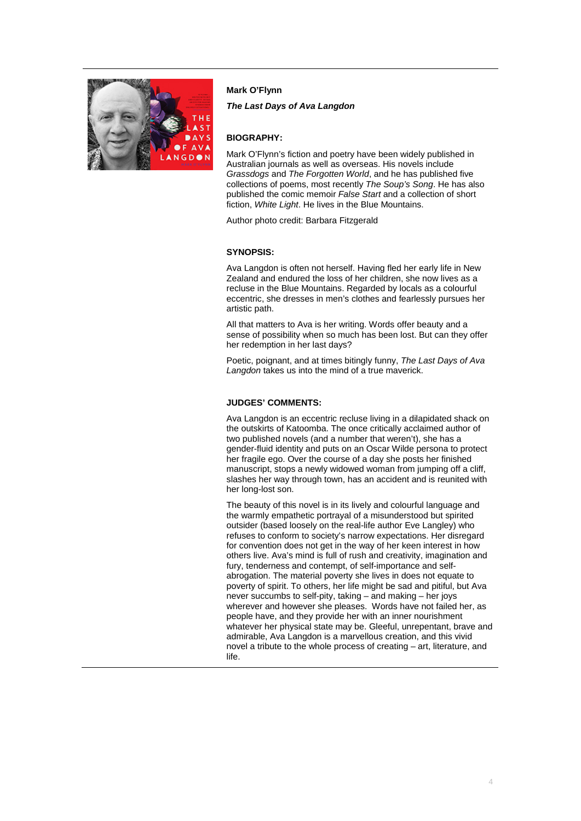

# **Mark O'Flynn**

*The Last Days of Ava Langdon*

# **BIOGRAPHY:**

Mark O'Flynn's fiction and poetry have been widely published in Australian journals as well as overseas. His novels include *Grassdogs* and *The Forgotten World*, and he has published five collections of poems, most recently *The Soup's Song*. He has also published the comic memoir *False Start* and a collection of short fiction, *White Light*. He lives in the Blue Mountains.

Author photo credit: Barbara Fitzgerald

# **SYNOPSIS:**

Ava Langdon is often not herself. Having fled her early life in New Zealand and endured the loss of her children, she now lives as a recluse in the Blue Mountains. Regarded by locals as a colourful eccentric, she dresses in men's clothes and fearlessly pursues her artistic path.

All that matters to Ava is her writing. Words offer beauty and a sense of possibility when so much has been lost. But can they offer her redemption in her last days?

Poetic, poignant, and at times bitingly funny, *The Last Days of Ava Langdon* takes us into the mind of a true maverick.

# **JUDGES' COMMENTS:**

Ava Langdon is an eccentric recluse living in a dilapidated shack on the outskirts of Katoomba. The once critically acclaimed author of two published novels (and a number that weren't), she has a gender-fluid identity and puts on an Oscar Wilde persona to protect her fragile ego. Over the course of a day she posts her finished manuscript, stops a newly widowed woman from jumping off a cliff, slashes her way through town, has an accident and is reunited with her long-lost son.

The beauty of this novel is in its lively and colourful language and the warmly empathetic portrayal of a misunderstood but spirited outsider (based loosely on the real-life author Eve Langley) who refuses to conform to society's narrow expectations. Her disregard for convention does not get in the way of her keen interest in how others live. Ava's mind is full of rush and creativity, imagination and fury, tenderness and contempt, of self-importance and selfabrogation. The material poverty she lives in does not equate to poverty of spirit. To others, her life might be sad and pitiful, but Ava never succumbs to self-pity, taking – and making – her joys wherever and however she pleases. Words have not failed her, as people have, and they provide her with an inner nourishment whatever her physical state may be. Gleeful, unrepentant, brave and admirable, Ava Langdon is a marvellous creation, and this vivid novel a tribute to the whole process of creating – art, literature, and life.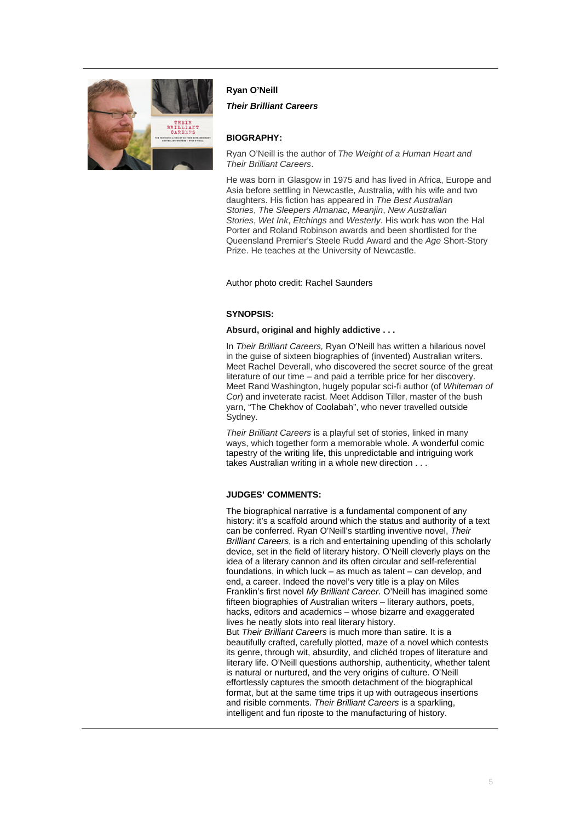

# **Ryan O'Neill**

*Their Brilliant Careers*

# **BIOGRAPHY:**

Ryan O'Neill is the author of *The Weight of a Human Heart and Their Brilliant Careers*.

He was born in Glasgow in 1975 and has lived in Africa, Europe and Asia before settling in Newcastle, Australia, with his wife and two daughters. His fiction has appeared in *The Best Australian Stories*, *The Sleepers Almanac*, *Meanjin*, *New Australian Stories*, *Wet Ink*, *Etchings* and *Westerly*. His work has won the Hal Porter and Roland Robinson awards and been shortlisted for the Queensland Premier's Steele Rudd Award and the *Age* Short-Story Prize. He teaches at the University of Newcastle.

Author photo credit: Rachel Saunders

# **SYNOPSIS:**

#### **Absurd, original and highly addictive . . .**

In *Their Brilliant Careers,* Ryan O'Neill has written a hilarious novel in the guise of sixteen biographies of (invented) Australian writers. Meet Rachel Deverall, who discovered the secret source of the great literature of our time – and paid a terrible price for her discovery. Meet Rand Washington, hugely popular sci-fi author (of *Whiteman of Cor*) and inveterate racist. Meet Addison Tiller, master of the bush yarn, "The Chekhov of Coolabah", who never travelled outside Sydney.

*Their Brilliant Careers* is a playful set of stories, linked in many ways, which together form a memorable whole. A wonderful comic tapestry of the writing life, this unpredictable and intriguing work takes Australian writing in a whole new direction . . .

# **JUDGES' COMMENTS:**

The biographical narrative is a fundamental component of any history: it's a scaffold around which the status and authority of a text can be conferred. Ryan O'Neill's startling inventive novel, *Their Brilliant Careers*, is a rich and entertaining upending of this scholarly device, set in the field of literary history. O'Neill cleverly plays on the idea of a literary cannon and its often circular and self-referential foundations, in which luck – as much as talent – can develop, and end, a career. Indeed the novel's very title is a play on Miles Franklin's first novel *My Brilliant Career*. O'Neill has imagined some fifteen biographies of Australian writers – literary authors, poets, hacks, editors and academics – whose bizarre and exaggerated lives he neatly slots into real literary history.

But *Their Brilliant Careers* is much more than satire. It is a beautifully crafted, carefully plotted, maze of a novel which contests its genre, through wit, absurdity, and clichéd tropes of literature and literary life. O'Neill questions authorship, authenticity, whether talent is natural or nurtured, and the very origins of culture. O'Neill effortlessly captures the smooth detachment of the biographical format, but at the same time trips it up with outrageous insertions and risible comments. *Their Brilliant Careers* is a sparkling, intelligent and fun riposte to the manufacturing of history.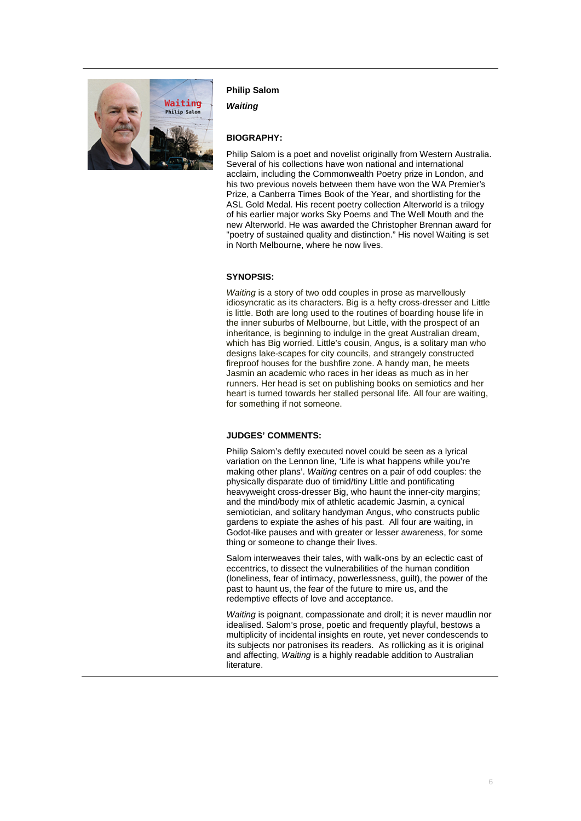

## **Philip Salom**

*Waiting*

# **BIOGRAPHY:**

Philip Salom is a poet and novelist originally from Western Australia. Several of his collections have won national and international acclaim, including the Commonwealth Poetry prize in London, and his two previous novels between them have won the WA Premier's Prize, a Canberra Times Book of the Year, and shortlisting for the ASL Gold Medal. His recent poetry collection Alterworld is a trilogy of his earlier major works Sky Poems and The Well Mouth and the new Alterworld. He was awarded the Christopher Brennan award for "poetry of sustained quality and distinction." His novel Waiting is set in North Melbourne, where he now lives.

# **SYNOPSIS:**

*Waiting* is a story of two odd couples in prose as marvellously idiosyncratic as its characters. Big is a hefty cross-dresser and Little is little. Both are long used to the routines of boarding house life in the inner suburbs of Melbourne, but Little, with the prospect of an inheritance, is beginning to indulge in the great Australian dream, which has Big worried. Little's cousin, Angus, is a solitary man who designs lake-scapes for city councils, and strangely constructed fireproof houses for the bushfire zone. A handy man, he meets Jasmin an academic who races in her ideas as much as in her runners. Her head is set on publishing books on semiotics and her heart is turned towards her stalled personal life. All four are waiting, for something if not someone.

## **JUDGES' COMMENTS:**

Philip Salom's deftly executed novel could be seen as a lyrical variation on the Lennon line, 'Life is what happens while you're making other plans'. *Waiting* centres on a pair of odd couples: the physically disparate duo of timid/tiny Little and pontificating heavyweight cross-dresser Big, who haunt the inner-city margins; and the mind/body mix of athletic academic Jasmin, a cynical semiotician, and solitary handyman Angus, who constructs public gardens to expiate the ashes of his past. All four are waiting, in Godot-like pauses and with greater or lesser awareness, for some thing or someone to change their lives.

Salom interweaves their tales, with walk-ons by an eclectic cast of eccentrics, to dissect the vulnerabilities of the human condition (loneliness, fear of intimacy, powerlessness, guilt), the power of the past to haunt us, the fear of the future to mire us, and the redemptive effects of love and acceptance.

*Waiting* is poignant, compassionate and droll; it is never maudlin nor idealised. Salom's prose, poetic and frequently playful, bestows a multiplicity of incidental insights en route, yet never condescends to its subjects nor patronises its readers. As rollicking as it is original and affecting, *Waiting* is a highly readable addition to Australian literature.